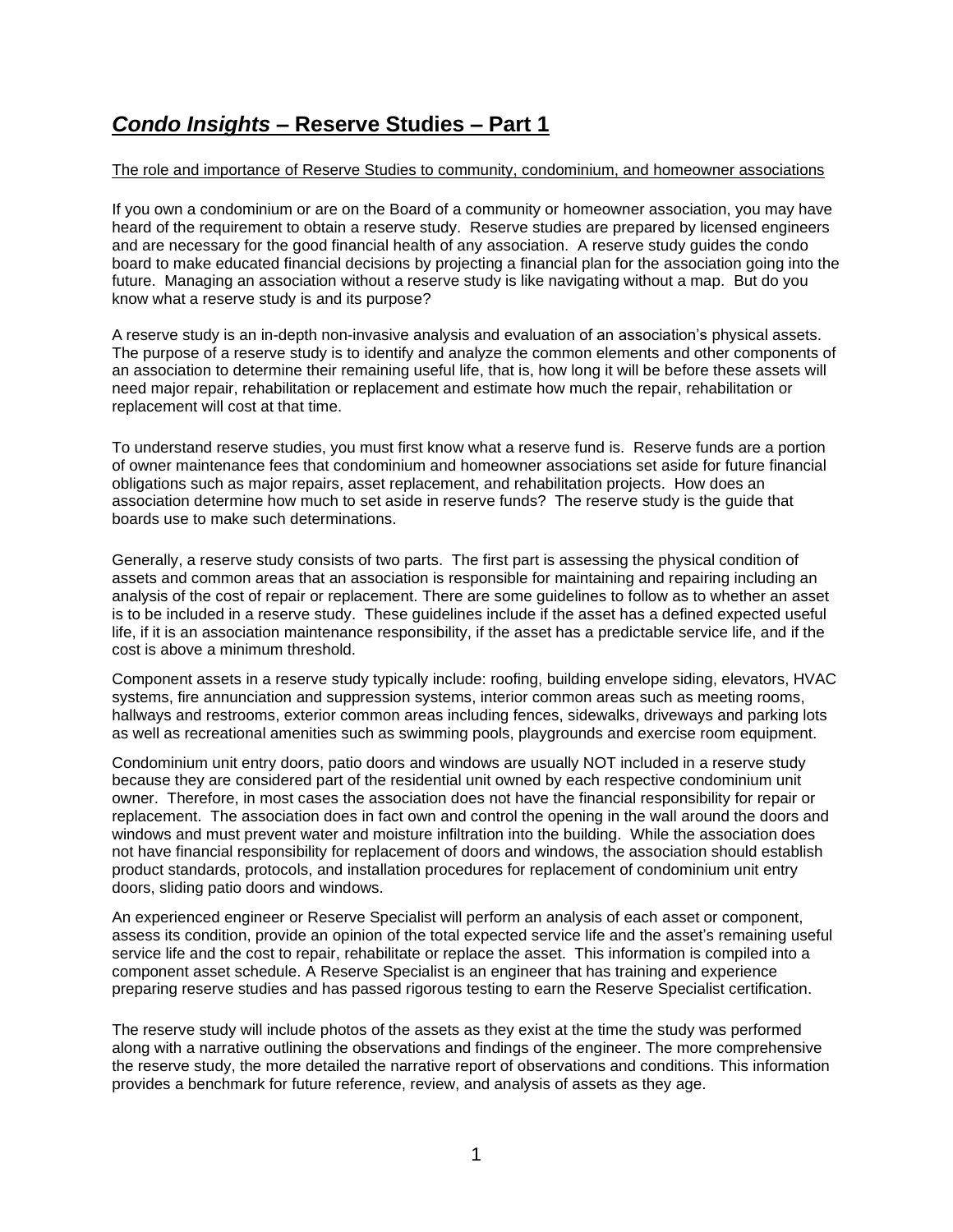## *Condo Insights* **– Reserve Studies – Part 1**

## The role and importance of Reserve Studies to community, condominium, and homeowner associations

If you own a condominium or are on the Board of a community or homeowner association, you may have heard of the requirement to obtain a reserve study. Reserve studies are prepared by licensed engineers and are necessary for the good financial health of any association. A reserve study guides the condo board to make educated financial decisions by projecting a financial plan for the association going into the future. Managing an association without a reserve study is like navigating without a map. But do you know what a reserve study is and its purpose?

A reserve study is an in-depth non-invasive analysis and evaluation of an association's physical assets. The purpose of a reserve study is to identify and analyze the common elements and other components of an association to determine their remaining useful life, that is, how long it will be before these assets will need major repair, rehabilitation or replacement and estimate how much the repair, rehabilitation or replacement will cost at that time.

To understand reserve studies, you must first know what a reserve fund is. Reserve funds are a portion of owner maintenance fees that condominium and homeowner associations set aside for future financial obligations such as major repairs, asset replacement, and rehabilitation projects. How does an association determine how much to set aside in reserve funds? The reserve study is the guide that boards use to make such determinations.

Generally, a reserve study consists of two parts. The first part is assessing the physical condition of assets and common areas that an association is responsible for maintaining and repairing including an analysis of the cost of repair or replacement. There are some guidelines to follow as to whether an asset is to be included in a reserve study. These guidelines include if the asset has a defined expected useful life, if it is an association maintenance responsibility, if the asset has a predictable service life, and if the cost is above a minimum threshold.

Component assets in a reserve study typically include: roofing, building envelope siding, elevators, HVAC systems, fire annunciation and suppression systems, interior common areas such as meeting rooms, hallways and restrooms, exterior common areas including fences, sidewalks, driveways and parking lots as well as recreational amenities such as swimming pools, playgrounds and exercise room equipment.

Condominium unit entry doors, patio doors and windows are usually NOT included in a reserve study because they are considered part of the residential unit owned by each respective condominium unit owner. Therefore, in most cases the association does not have the financial responsibility for repair or replacement. The association does in fact own and control the opening in the wall around the doors and windows and must prevent water and moisture infiltration into the building. While the association does not have financial responsibility for replacement of doors and windows, the association should establish product standards, protocols, and installation procedures for replacement of condominium unit entry doors, sliding patio doors and windows.

An experienced engineer or Reserve Specialist will perform an analysis of each asset or component, assess its condition, provide an opinion of the total expected service life and the asset's remaining useful service life and the cost to repair, rehabilitate or replace the asset. This information is compiled into a component asset schedule. A Reserve Specialist is an engineer that has training and experience preparing reserve studies and has passed rigorous testing to earn the Reserve Specialist certification.

The reserve study will include photos of the assets as they exist at the time the study was performed along with a narrative outlining the observations and findings of the engineer. The more comprehensive the reserve study, the more detailed the narrative report of observations and conditions. This information provides a benchmark for future reference, review, and analysis of assets as they age.